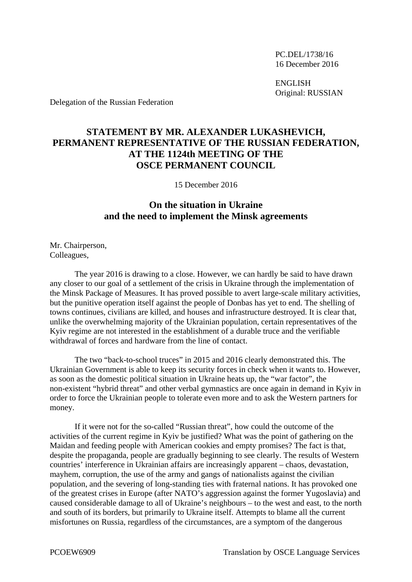PC.DEL/1738/16 16 December 2016

 ENGLISH Original: RUSSIAN

Delegation of the Russian Federation

## **STATEMENT BY MR. ALEXANDER LUKASHEVICH, PERMANENT REPRESENTATIVE OF THE RUSSIAN FEDERATION, AT THE 1124th MEETING OF THE OSCE PERMANENT COUNCIL**

15 December 2016

## **On the situation in Ukraine and the need to implement the Minsk agreements**

Mr. Chairperson, Colleagues,

 The year 2016 is drawing to a close. However, we can hardly be said to have drawn any closer to our goal of a settlement of the crisis in Ukraine through the implementation of the Minsk Package of Measures. It has proved possible to avert large-scale military activities, but the punitive operation itself against the people of Donbas has yet to end. The shelling of towns continues, civilians are killed, and houses and infrastructure destroyed. It is clear that, unlike the overwhelming majority of the Ukrainian population, certain representatives of the Kyiv regime are not interested in the establishment of a durable truce and the verifiable withdrawal of forces and hardware from the line of contact.

 The two "back-to-school truces" in 2015 and 2016 clearly demonstrated this. The Ukrainian Government is able to keep its security forces in check when it wants to. However, as soon as the domestic political situation in Ukraine heats up, the "war factor", the non-existent "hybrid threat" and other verbal gymnastics are once again in demand in Kyiv in order to force the Ukrainian people to tolerate even more and to ask the Western partners for money.

 If it were not for the so-called "Russian threat", how could the outcome of the activities of the current regime in Kyiv be justified? What was the point of gathering on the Maidan and feeding people with American cookies and empty promises? The fact is that, despite the propaganda, people are gradually beginning to see clearly. The results of Western countries' interference in Ukrainian affairs are increasingly apparent – chaos, devastation, mayhem, corruption, the use of the army and gangs of nationalists against the civilian population, and the severing of long-standing ties with fraternal nations. It has provoked one of the greatest crises in Europe (after NATO's aggression against the former Yugoslavia) and caused considerable damage to all of Ukraine's neighbours – to the west and east, to the north and south of its borders, but primarily to Ukraine itself. Attempts to blame all the current misfortunes on Russia, regardless of the circumstances, are a symptom of the dangerous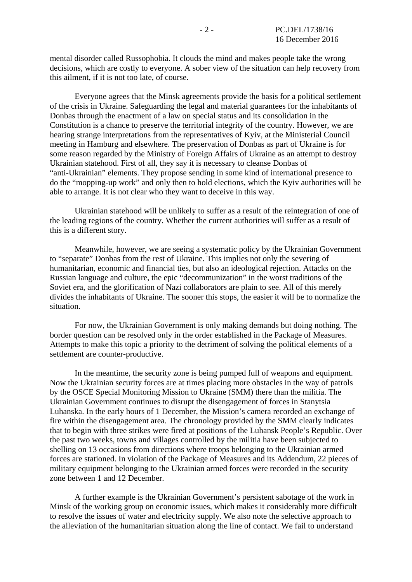mental disorder called Russophobia. It clouds the mind and makes people take the wrong decisions, which are costly to everyone. A sober view of the situation can help recovery from this ailment, if it is not too late, of course.

 Everyone agrees that the Minsk agreements provide the basis for a political settlement of the crisis in Ukraine. Safeguarding the legal and material guarantees for the inhabitants of Donbas through the enactment of a law on special status and its consolidation in the Constitution is a chance to preserve the territorial integrity of the country. However, we are hearing strange interpretations from the representatives of Kyiv, at the Ministerial Council meeting in Hamburg and elsewhere. The preservation of Donbas as part of Ukraine is for some reason regarded by the Ministry of Foreign Affairs of Ukraine as an attempt to destroy Ukrainian statehood. First of all, they say it is necessary to cleanse Donbas of "anti-Ukrainian" elements. They propose sending in some kind of international presence to do the "mopping-up work" and only then to hold elections, which the Kyiv authorities will be able to arrange. It is not clear who they want to deceive in this way.

 Ukrainian statehood will be unlikely to suffer as a result of the reintegration of one of the leading regions of the country. Whether the current authorities will suffer as a result of this is a different story.

 Meanwhile, however, we are seeing a systematic policy by the Ukrainian Government to "separate" Donbas from the rest of Ukraine. This implies not only the severing of humanitarian, economic and financial ties, but also an ideological rejection. Attacks on the Russian language and culture, the epic "decommunization" in the worst traditions of the Soviet era, and the glorification of Nazi collaborators are plain to see. All of this merely divides the inhabitants of Ukraine. The sooner this stops, the easier it will be to normalize the situation.

 For now, the Ukrainian Government is only making demands but doing nothing. The border question can be resolved only in the order established in the Package of Measures. Attempts to make this topic a priority to the detriment of solving the political elements of a settlement are counter-productive.

 In the meantime, the security zone is being pumped full of weapons and equipment. Now the Ukrainian security forces are at times placing more obstacles in the way of patrols by the OSCE Special Monitoring Mission to Ukraine (SMM) there than the militia. The Ukrainian Government continues to disrupt the disengagement of forces in Stanytsia Luhanska. In the early hours of 1 December, the Mission's camera recorded an exchange of fire within the disengagement area. The chronology provided by the SMM clearly indicates that to begin with three strikes were fired at positions of the Luhansk People's Republic. Over the past two weeks, towns and villages controlled by the militia have been subjected to shelling on 13 occasions from directions where troops belonging to the Ukrainian armed forces are stationed. In violation of the Package of Measures and its Addendum, 22 pieces of military equipment belonging to the Ukrainian armed forces were recorded in the security zone between 1 and 12 December.

 A further example is the Ukrainian Government's persistent sabotage of the work in Minsk of the working group on economic issues, which makes it considerably more difficult to resolve the issues of water and electricity supply. We also note the selective approach to the alleviation of the humanitarian situation along the line of contact. We fail to understand